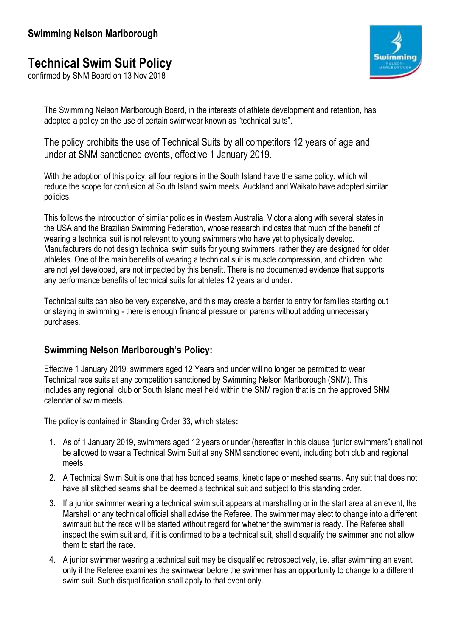# **Technical Swim Suit Policy**

confirmed by SNM Board on 13 Nov 2018



The Swimming Nelson Marlborough Board, in the interests of athlete development and retention, has adopted a policy on the use of certain swimwear known as "technical suits".

The policy prohibits the use of Technical Suits by all competitors 12 years of age and under at SNM sanctioned events, effective 1 January 2019.

With the adoption of this policy, all four regions in the South Island have the same policy, which will reduce the scope for confusion at South Island swim meets. Auckland and Waikato have adopted similar policies.

This follows the introduction of similar policies in Western Australia, Victoria along with several states in the USA and the Brazilian Swimming Federation, whose research indicates that much of the benefit of wearing a technical suit is not relevant to young swimmers who have yet to physically develop. Manufacturers do not design technical swim suits for young swimmers, rather they are designed for older athletes. One of the main benefits of wearing a technical suit is muscle compression, and children, who are not yet developed, are not impacted by this benefit. There is no documented evidence that supports any performance benefits of technical suits for athletes 12 years and under.

Technical suits can also be very expensive, and this may create a barrier to entry for families starting out or staying in swimming - there is enough financial pressure on parents without adding unnecessary purchases.

#### **Swimming Nelson Marlborough's Policy:**

Effective 1 January 2019, swimmers aged 12 Years and under will no longer be permitted to wear Technical race suits at any competition sanctioned by Swimming Nelson Marlborough (SNM). This includes any regional, club or South Island meet held within the SNM region that is on the approved SNM calendar of swim meets.

The policy is contained in Standing Order 33, which states**:**

- 1. As of 1 January 2019, swimmers aged 12 years or under (hereafter in this clause "junior swimmers") shall not be allowed to wear a Technical Swim Suit at any SNM sanctioned event, including both club and regional meets.
- 2. A Technical Swim Suit is one that has bonded seams, kinetic tape or meshed seams. Any suit that does not have all stitched seams shall be deemed a technical suit and subject to this standing order.
- 3. If a junior swimmer wearing a technical swim suit appears at marshalling or in the start area at an event, the Marshall or any technical official shall advise the Referee. The swimmer may elect to change into a different swimsuit but the race will be started without regard for whether the swimmer is ready. The Referee shall inspect the swim suit and, if it is confirmed to be a technical suit, shall disqualify the swimmer and not allow them to start the race.
- 4. A junior swimmer wearing a technical suit may be disqualified retrospectively, i.e. after swimming an event, only if the Referee examines the swimwear before the swimmer has an opportunity to change to a different swim suit. Such disqualification shall apply to that event only.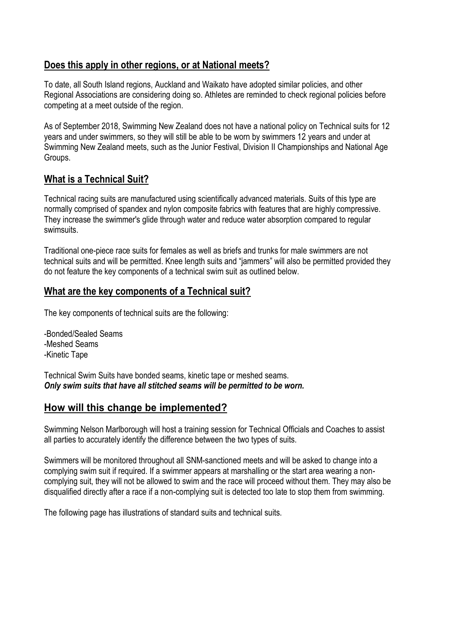### **Does this apply in other regions, or at National meets?**

To date, all South Island regions, Auckland and Waikato have adopted similar policies, and other Regional Associations are considering doing so. Athletes are reminded to check regional policies before competing at a meet outside of the region.

As of September 2018, Swimming New Zealand does not have a national policy on Technical suits for 12 years and under swimmers, so they will still be able to be worn by swimmers 12 years and under at Swimming New Zealand meets, such as the Junior Festival, Division II Championships and National Age Groups.

### **What is a Technical Suit?**

Technical racing suits are manufactured using scientifically advanced materials. Suits of this type are normally comprised of spandex and nylon composite fabrics with features that are highly compressive. They increase the swimmer's glide through water and reduce water absorption compared to regular swimsuits.

Traditional one-piece race suits for females as well as briefs and trunks for male swimmers are not technical suits and will be permitted. Knee length suits and "jammers" will also be permitted provided they do not feature the key components of a technical swim suit as outlined below.

#### **What are the key components of a Technical suit?**

The key components of technical suits are the following:

-Bonded/Sealed Seams -Meshed Seams -Kinetic Tape

Technical Swim Suits have bonded seams, kinetic tape or meshed seams. *Only swim suits that have all stitched seams will be permitted to be worn.* 

## **How will this change be implemented?**

Swimming Nelson Marlborough will host a training session for Technical Officials and Coaches to assist all parties to accurately identify the difference between the two types of suits.

Swimmers will be monitored throughout all SNM-sanctioned meets and will be asked to change into a complying swim suit if required. If a swimmer appears at marshalling or the start area wearing a noncomplying suit, they will not be allowed to swim and the race will proceed without them. They may also be disqualified directly after a race if a non-complying suit is detected too late to stop them from swimming.

The following page has illustrations of standard suits and technical suits.